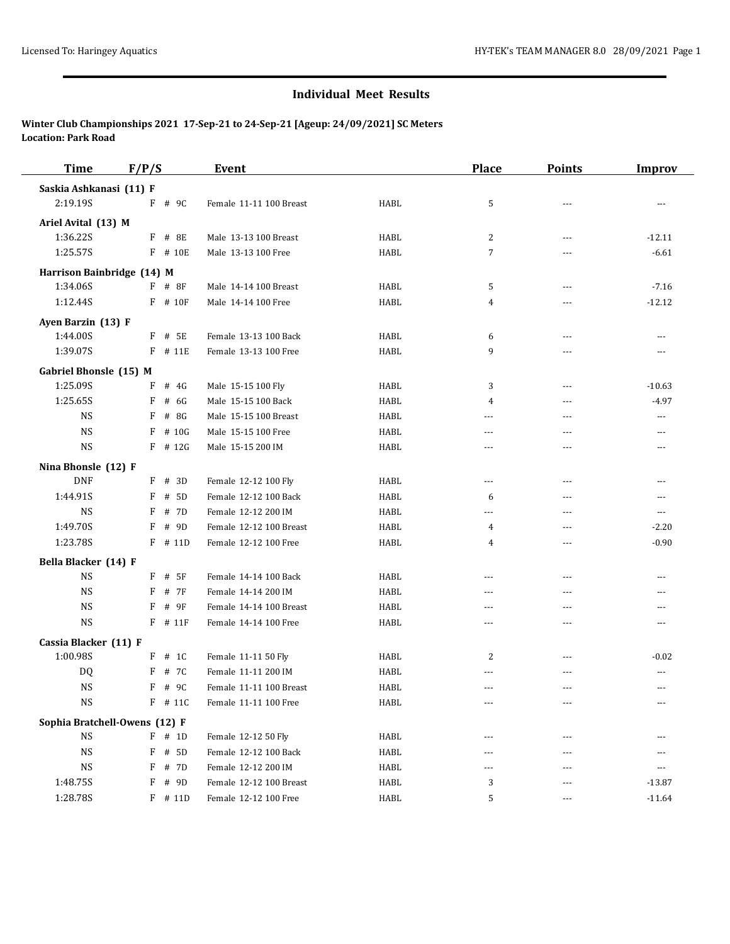| <b>Time</b>                | F/P/S                         | Event                   |             | <b>Place</b>   | <b>Points</b>  | <b>Improv</b> |
|----------------------------|-------------------------------|-------------------------|-------------|----------------|----------------|---------------|
| Saskia Ashkanasi (11) F    |                               |                         |             |                |                |               |
| 2:19.19S                   | F # 9C                        | Female 11-11 100 Breast | HABL        | 5              | $- - -$        | ---           |
| Ariel Avital (13) M        |                               |                         |             |                |                |               |
| 1:36.22S                   | F # 8E                        | Male 13-13 100 Breast   | HABL        | $\overline{c}$ | $\overline{a}$ | $-12.11$      |
| 1:25.57S                   | $F$ # 10E                     | Male 13-13 100 Free     | <b>HABL</b> | 7              | ---            | $-6.61$       |
| Harrison Bainbridge (14) M |                               |                         |             |                |                |               |
| 1:34.06S                   | $F$ # 8F                      | Male 14-14 100 Breast   | HABL        | 5              | ---            | $-7.16$       |
| 1:12.44S                   | F # 10F                       | Male 14-14 100 Free     | HABL        | 4              | $- - -$        | $-12.12$      |
| Ayen Barzin (13) F         |                               |                         |             |                |                |               |
| 1:44.00S                   | $F$ # 5E                      | Female 13-13 100 Back   | <b>HABL</b> | 6              | $\overline{a}$ |               |
| 1:39.07S                   | $F$ # 11E                     | Female 13-13 100 Free   | HABL        | 9              | ---            | $---$         |
| Gabriel Bhonsle (15) M     |                               |                         |             |                |                |               |
| 1:25.09S                   | $F$ # 4G                      | Male 15-15 100 Fly      | HABL        | 3              | $\overline{a}$ | $-10.63$      |
| 1:25.65S                   | # 6G<br>F                     | Male 15-15 100 Back     | <b>HABL</b> | 4              | ---            | $-4.97$       |
| <b>NS</b>                  | F<br># 8G                     | Male 15-15 100 Breast   | HABL        | ---            | $- - -$        | ---           |
| <b>NS</b>                  | # 10G<br>F                    | Male 15-15 100 Free     | <b>HABL</b> | ---            | $\overline{a}$ | $-$           |
| <b>NS</b>                  | $F$ # 12G                     | Male 15-15 200 IM       | HABL        | ---            | $- - -$        | ---           |
| Nina Bhonsle (12) F        |                               |                         |             |                |                |               |
| <b>DNF</b>                 | # 3D<br>F                     | Female 12-12 100 Fly    | HABL        | ---            | $\overline{a}$ | $---$         |
| 1:44.91S                   | # 5D<br>F                     | Female 12-12 100 Back   | HABL        | 6              | $\overline{a}$ | $---$         |
| <b>NS</b>                  | F<br># 7D                     | Female 12-12 200 IM     | HABL        | ---            | ---            | ---           |
| 1:49.70S                   | F<br># 9D                     | Female 12-12 100 Breast | HABL        | 4              | $- - -$        | $-2.20$       |
| 1:23.78S                   | $F$ # 11D                     | Female 12-12 100 Free   | HABL        | 4              | $\overline{a}$ | $-0.90$       |
| Bella Blacker (14) F       |                               |                         |             |                |                |               |
| <b>NS</b>                  | $F$ # 5F                      | Female 14-14 100 Back   | <b>HABL</b> | $\overline{a}$ | $\overline{a}$ | $-$           |
| <b>NS</b>                  | F # 7F                        | Female 14-14 200 IM     | HABL        | $---$          | $- - -$        | ---           |
| <b>NS</b>                  | F<br># 9F                     | Female 14-14 100 Breast | HABL        | $---$          | $\overline{a}$ | $-$           |
| <b>NS</b>                  | $F$ # 11 $F$                  | Female 14-14 100 Free   | HABL        | $\overline{a}$ | ---            | ---           |
| Cassia Blacker (11) F      |                               |                         |             |                |                |               |
| 1:00.98S                   | $F$ # 1C                      | Female 11-11 50 Fly     | HABL        | 2              | ---            | $-0.02$       |
| DQ                         | F<br># 7C                     | Female 11-11 200 IM     | HABL        | ---            | ---            | ---           |
| <b>NS</b>                  | $F$ # 9C                      | Female 11-11 100 Breast | HABL        | ---            | $- - -$        | ---           |
| NS                         | F # 11C                       | Female 11-11 100 Free   | HABL        | $\cdots$       | ---            | ---           |
|                            | Sophia Bratchell-Owens (12) F |                         |             |                |                |               |
| NS                         | $F$ # 1D                      | Female 12-12 50 Fly     | HABL        |                |                |               |
| NS                         | $F$ # 5D                      | Female 12-12 100 Back   | HABL        | $---$          | $---$          | ---           |
| $_{\rm NS}$                | F<br># 7D                     | Female 12-12 200 IM     | HABL        | ---            | ---            | ---           |
| 1:48.75S                   | F<br># 9D                     | Female 12-12 100 Breast | HABL        | 3              | $---$          | $-13.87$      |
| 1:28.78S                   | $F$ # 11D                     | Female 12-12 100 Free   | HABL        | 5              | ---            | $-11.64$      |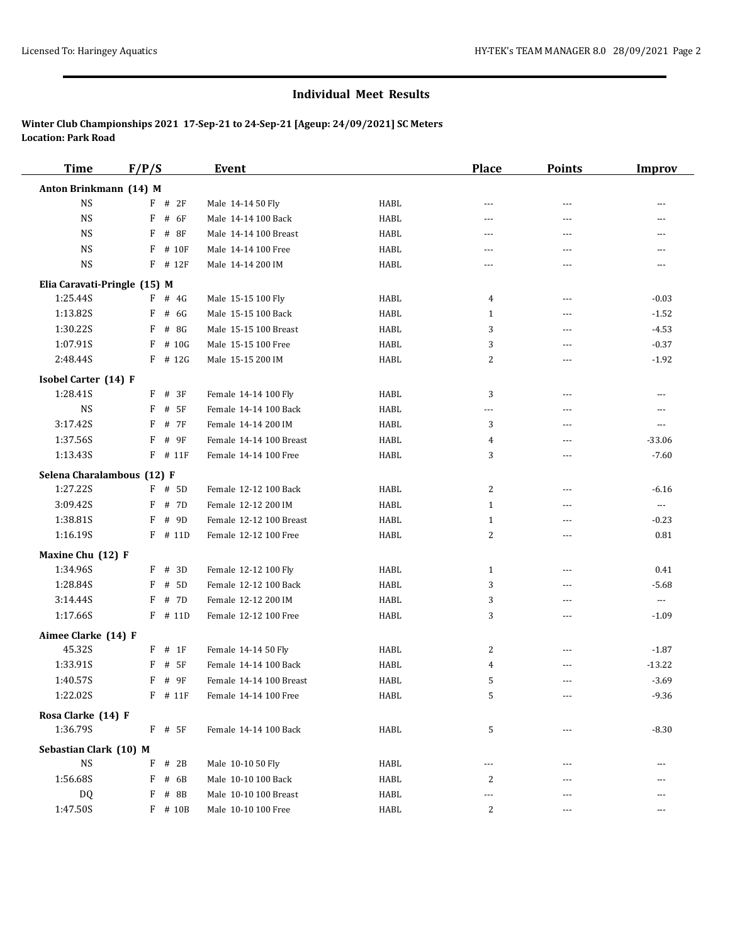| <b>Time</b>                           | F/P/S        | <b>Event</b>            |      | <b>Place</b> | <b>Points</b>  | Improv                   |
|---------------------------------------|--------------|-------------------------|------|--------------|----------------|--------------------------|
| Anton Brinkmann (14) M                |              |                         |      |              |                |                          |
| <b>NS</b>                             | $F$ # 2F     | Male 14-14 50 Fly       | HABL | $- - -$      | ---            |                          |
| <b>NS</b>                             | # 6F<br>F    | Male 14-14 100 Back     | HABL | ---          | ---            | ---                      |
| <b>NS</b>                             | $F$ # 8F     | Male 14-14 100 Breast   | HABL | ---          | ---            | ---                      |
| <b>NS</b>                             | $F$ # 10 $F$ | Male 14-14 100 Free     | HABL | $\cdots$     | $---$          | $---$                    |
| <b>NS</b>                             | $F$ # 12 $F$ | Male 14-14 200 IM       | HABL | ---          | ---            | $\cdots$                 |
| Elia Caravati-Pringle (15) M          |              |                         |      |              |                |                          |
| 1:25.44S                              | $F$ # 4G     | Male 15-15 100 Fly      | HABL | 4            | ---            | $-0.03$                  |
| 1:13.82S                              | $F$ # 6G     | Male 15-15 100 Back     | HABL | 1            | $\cdots$       | $-1.52$                  |
| 1:30.22S                              | F<br># 8G    | Male 15-15 100 Breast   | HABL | 3            | $\overline{a}$ | $-4.53$                  |
| 1:07.91S                              | F<br># 10G   | Male 15-15 100 Free     | HABL | 3            | ---            | $-0.37$                  |
| 2:48.44S                              | $F$ # 12G    | Male 15-15 200 IM       | HABL | 2            | ---            | $-1.92$                  |
| Isobel Carter (14) F                  |              |                         |      |              |                |                          |
| 1:28.41S                              | $F$ # 3F     | Female 14-14 100 Fly    | HABL | 3            | $---$          | $---$                    |
| <b>NS</b>                             | $F$ # 5F     | Female 14-14 100 Back   | HABL | $---$        | $\overline{a}$ |                          |
| 3:17.42S                              | F<br># 7F    | Female 14-14 200 IM     | HABL | 3            | $\overline{a}$ | $---$                    |
| 1:37.56S                              | # 9F<br>F    | Female 14-14 100 Breast | HABL | 4            | $\overline{a}$ | $-33.06$                 |
| 1:13.43S                              | $F$ # 11 $F$ | Female 14-14 100 Free   | HABL | 3            | ---            | $-7.60$                  |
| Selena Charalambous (12) F            |              |                         |      |              |                |                          |
| 1:27.22S                              | $F$ # 5D     | Female 12-12 100 Back   | HABL | 2            | ---            | $-6.16$                  |
| 3:09.42S                              | F # 7D       | Female 12-12 200 IM     | HABL | $\mathbf{1}$ | ---            | $\overline{\phantom{a}}$ |
| 1:38.81S                              | F<br># 9D    | Female 12-12 100 Breast | HABL | $\mathbf{1}$ | ---            | $-0.23$                  |
| 1:16.19S                              | $F$ # 11D    | Female 12-12 100 Free   | HABL | 2            | $\overline{a}$ | 0.81                     |
| Maxine Chu (12) F                     |              |                         |      |              |                |                          |
| 1:34.96S                              | $F$ # 3D     | Female 12-12 100 Fly    | HABL | 1            | $\cdots$       | 0.41                     |
| 1:28.84S                              | F # 5D       | Female 12-12 100 Back   | HABL | 3            | ---            | $-5.68$                  |
| 3:14.44S                              | F # 7D       | Female 12-12 200 IM     | HABL | 3            | $\cdots$       | $\cdots$                 |
| 1:17.66S                              | $F$ # 11D    | Female 12-12 100 Free   | HABL | 3            | ---            | $-1.09$                  |
| Aimee Clarke (14) F                   |              |                         |      |              |                |                          |
| 45.32S                                | $F$ # 1F     | Female 14-14 50 Fly     | HABL | 2            | $  -$          | $-1.87$                  |
| 1:33.91S                              | $F$ # 5F     | Female 14-14 100 Back   | HABL | 4            | ---            | $-13.22$                 |
| 1:40.57S                              | $F$ # 9 $F$  | Female 14-14 100 Breast | HABL | 5            | $\overline{a}$ | $-3.69$                  |
| 1:22.02S                              | $F$ # 11 $F$ | Female 14-14 100 Free   | HABL | 5            |                | $-9.36$                  |
|                                       |              |                         |      |              |                |                          |
| Rosa Clarke (14) F<br>1:36.79S        | $F$ # 5F     | Female 14-14 100 Back   | HABL | 5            | ---            | $-8.30$                  |
|                                       |              |                         |      |              |                |                          |
| Sebastian Clark (10) M<br>$_{\rm NS}$ |              |                         |      |              |                |                          |
|                                       | $F$ # 2B     | Male 10-10 50 Fly       | HABL | ---          | ---            |                          |
| 1:56.68S                              | $F$ # 6B     | Male 10-10 100 Back     | HABL | 2            |                |                          |
| DQ                                    | $F$ # 8B     | Male 10-10 100 Breast   | HABL | ---          |                |                          |
| 1:47.50S                              | $F$ # 10B    | Male 10-10 100 Free     | HABL | 2            | ---            | ---                      |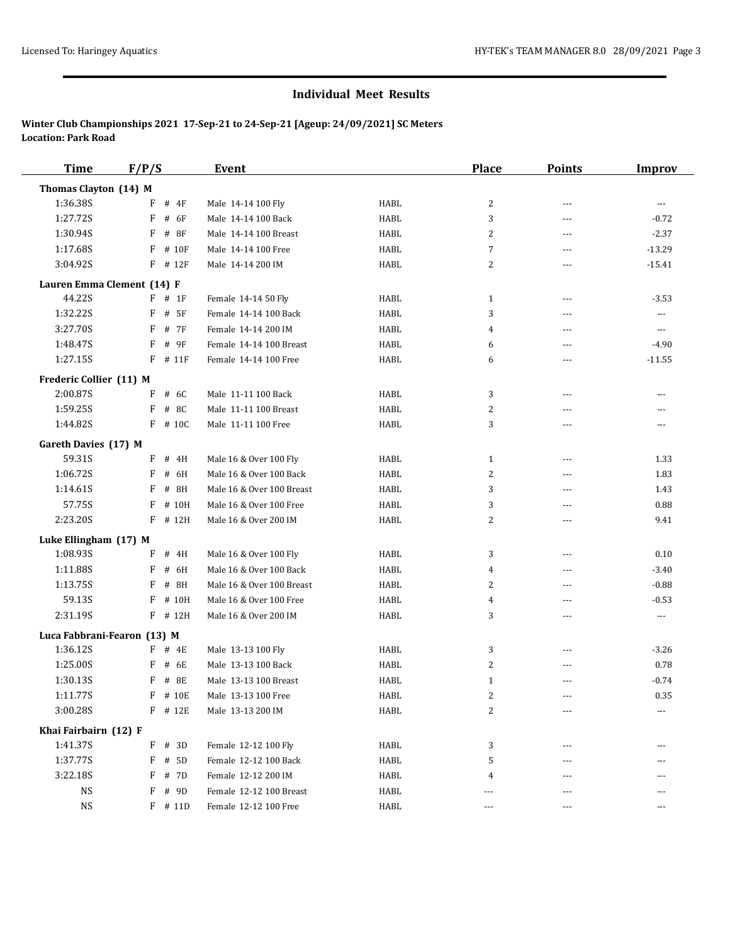| <b>Time</b>                 | F/P/S       | <b>Event</b>              |             | <b>Place</b>   | <b>Points</b>  | <b>Improv</b>            |
|-----------------------------|-------------|---------------------------|-------------|----------------|----------------|--------------------------|
| Thomas Clayton (14) M       |             |                           |             |                |                |                          |
| 1:36.38S                    | F<br>$#$ 4F | Male 14-14 100 Fly        | HABL        | 2              | $- - -$        | $\cdots$                 |
| 1:27.72S                    | F<br># 6F   | Male 14-14 100 Back       | <b>HABL</b> | 3              | $\overline{a}$ | $-0.72$                  |
| 1:30.94S                    | F<br># 8F   | Male 14-14 100 Breast     | <b>HABL</b> | 2              | $\overline{a}$ | $-2.37$                  |
| 1:17.68S                    | F<br># 10F  | Male 14-14 100 Free       | HABL        | 7              | $\sim$ $\sim$  | $-13.29$                 |
| 3:04.92S                    | F<br># 12F  | Male 14-14 200 IM         | HABL        | $\overline{2}$ | ---            | $-15.41$                 |
| Lauren Emma Clement (14) F  |             |                           |             |                |                |                          |
| 44.22S                      | $F$ # 1F    | Female 14-14 50 Fly       | HABL        | $\mathbf{1}$   | ---            | $-3.53$                  |
| 1:32.22S                    | F<br># 5F   | Female 14-14 100 Back     | HABL        | 3              | ---            | $\overline{\phantom{a}}$ |
| 3:27.70S                    | F<br># 7F   | Female 14-14 200 IM       | <b>HABL</b> | 4              | $\overline{a}$ | $\cdots$                 |
| 1:48.47S                    | F<br># 9F   | Female 14-14 100 Breast   | <b>HABL</b> | 6              | $\overline{a}$ | $-4.90$                  |
| 1:27.15S                    | F<br># 11F  | Female 14-14 100 Free     | <b>HABL</b> | 6              | $\overline{a}$ | $-11.55$                 |
| Frederic Collier (11) M     |             |                           |             |                |                |                          |
| 2:00.87S                    | F<br># 6C   | Male 11-11 100 Back       | HABL        | 3              | $\sim$ $\sim$  | $---$                    |
| 1:59.25S                    | # 8C<br>F   | Male 11-11 100 Breast     | <b>HABL</b> | 2              | $\overline{a}$ |                          |
| 1:44.82S                    | $F$ # 10C   | Male 11-11 100 Free       | <b>HABL</b> | 3              | $\overline{a}$ | $\frac{1}{2}$            |
| Gareth Davies (17) M        |             |                           |             |                |                |                          |
| 59.31S                      | F<br># 4H   | Male 16 & Over 100 Fly    | HABL        | 1              | ---            | 1.33                     |
| 1:06.72S                    | F<br># 6H   | Male 16 & Over 100 Back   | <b>HABL</b> | 2              | $\overline{a}$ | 1.83                     |
| 1:14.61S                    | F<br># 8H   | Male 16 & Over 100 Breast | <b>HABL</b> | 3              | $- - -$        | 1.43                     |
| 57.75S                      | F<br># 10H  | Male 16 & Over 100 Free   | <b>HABL</b> | 3              | $\overline{a}$ | 0.88                     |
| 2:23.20S                    | F<br># 12H  | Male 16 & Over 200 IM     | <b>HABL</b> | $\overline{2}$ | $\overline{a}$ | 9.41                     |
| Luke Ellingham (17) M       |             |                           |             |                |                |                          |
| 1:08.93S                    | # 4H<br>F   | Male 16 & Over 100 Fly    | <b>HABL</b> | 3              | $---$          | 0.10                     |
| 1:11.88S                    | F<br># 6H   | Male 16 & Over 100 Back   | <b>HABL</b> | 4              | $\overline{a}$ | $-3.40$                  |
| 1:13.75S                    | F<br># 8H   | Male 16 & Over 100 Breast | <b>HABL</b> | 2              | $\overline{a}$ | $-0.88$                  |
| 59.13S                      | F<br># 10H  | Male 16 & Over 100 Free   | <b>HABL</b> | 4              | $---$          | $-0.53$                  |
| 2:31.19S                    | F<br># 12H  | Male 16 & Over 200 IM     | <b>HABL</b> | 3              | ---            | $\scriptstyle\cdots$     |
| Luca Fabbrani-Fearon (13) M |             |                           |             |                |                |                          |
| 1:36.12S                    | $F$ # 4E    | Male 13-13 100 Fly        | <b>HABL</b> | 3              | $---$          | $-3.26$                  |
| 1:25.00S                    | # 6E<br>F   | Male 13-13 100 Back       | <b>HABL</b> | 2              | $- - -$        | 0.78                     |
| 1:30.13S                    | F<br># 8E   | Male 13-13 100 Breast     | <b>HABL</b> | 1              | $\overline{a}$ | $-0.74$                  |
| 1:11.77S                    | F # 10E     | Male 13-13 100 Free       | HABL        | 2              |                | 0.35                     |
| 3:00.28S                    | $F$ # 12E   | Male 13-13 200 IM         | HABL        | 2              |                |                          |
| Khai Fairbairn (12) F       |             |                           |             |                |                |                          |
| 1:41.37S                    | F<br># 3D   | Female 12-12 100 Fly      | HABL        | 3              |                |                          |
| 1:37.77S                    | F # 5D      | Female 12-12 100 Back     | HABL        | 5              |                |                          |
| 3:22.18S                    | F<br># 7D   | Female 12-12 200 IM       | HABL        | 4              |                |                          |
| NS                          | # 9D<br>F   | Female 12-12 100 Breast   | HABL        | ---            |                |                          |
| <b>NS</b>                   | $F$ # 11D   | Female 12-12 100 Free     | HABL        | ---            | $\cdots$       | $---$                    |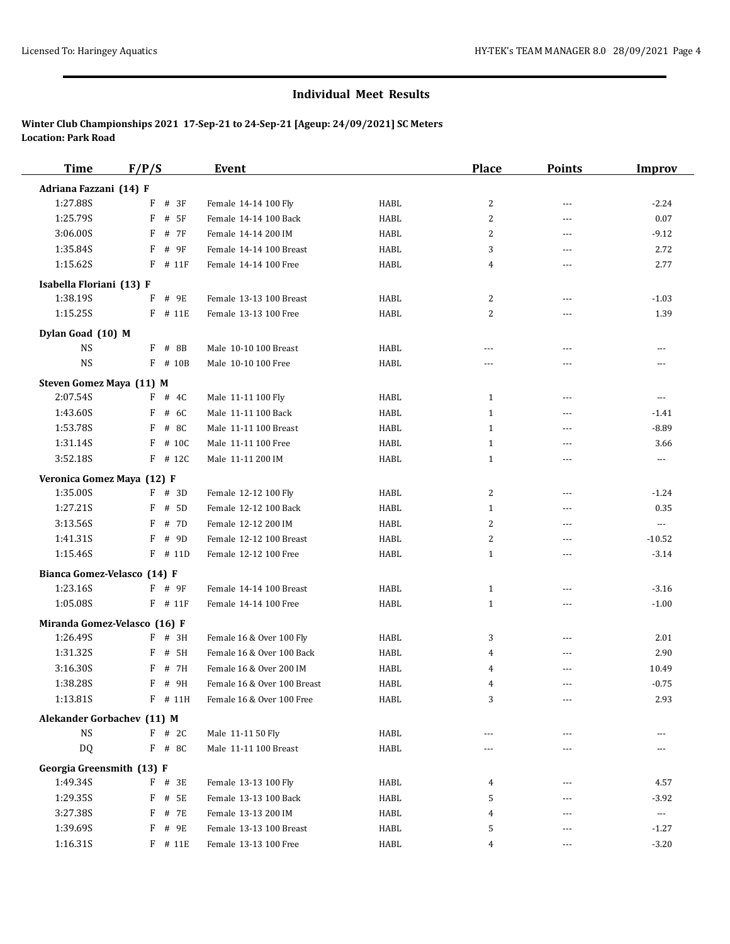| <b>Time</b>                    | F/P/S                        | <b>Event</b>                |             | <b>Place</b>   | <b>Points</b>  | <b>Improv</b>            |
|--------------------------------|------------------------------|-----------------------------|-------------|----------------|----------------|--------------------------|
| Adriana Fazzani (14) F         |                              |                             |             |                |                |                          |
| 1:27.88S                       | F<br># 3F                    | Female 14-14 100 Fly        | HABL        | $\overline{c}$ | $---$          | $-2.24$                  |
| 1:25.79S                       | # 5F<br>F                    | Female 14-14 100 Back       | HABL        | $\overline{c}$ | $\overline{a}$ | 0.07                     |
| 3:06.00S                       | F<br># 7F                    | Female 14-14 200 IM         | HABL        | 2              | ---            | $-9.12$                  |
| 1:35.84S                       | F<br># 9F                    | Female 14-14 100 Breast     | HABL        | 3              | ---            | 2.72                     |
| 1:15.62S                       | $F$ # 11 $F$                 | Female 14-14 100 Free       | HABL        | 4              | ---            | 2.77                     |
| Isabella Floriani (13) F       |                              |                             |             |                |                |                          |
| 1:38.19S                       | F # 9E                       | Female 13-13 100 Breast     | <b>HABL</b> | $\overline{2}$ | $---$          | $-1.03$                  |
| 1:15.25S                       | F # 11E                      | Female 13-13 100 Free       | HABL        | 2              | $---$          | 1.39                     |
|                                |                              |                             |             |                |                |                          |
| Dylan Goad (10) M<br><b>NS</b> | F # 8B                       | Male 10-10 100 Breast       | HABL        | ---            | ---            | ---                      |
| $_{\rm NS}$                    | $F$ # 10B                    | Male 10-10 100 Free         | HABL        | $---$          | ---            |                          |
|                                |                              |                             |             |                |                |                          |
| Steven Gomez Maya (11) M       |                              |                             |             |                |                |                          |
| 2:07.54S                       | $F$ # 4C                     | Male 11-11 100 Fly          | HABL        | 1              | $---$          | $---$                    |
| 1:43.60S                       | F<br># 6C                    | Male 11-11 100 Back         | HABL        | $\mathbf{1}$   | ---            | $-1.41$                  |
| 1:53.78S                       | $F$ # 8C                     | Male 11-11 100 Breast       | HABL        | $\mathbf{1}$   | ---            | $-8.89$                  |
| 1:31.14S                       | F<br># 10C                   | Male 11-11 100 Free         | HABL        | 1              | ---            | 3.66                     |
| 3:52.18S                       | $F$ # 12C                    | Male 11-11 200 IM           | HABL        | $1\,$          | ---            | ---                      |
| Veronica Gomez Maya (12) F     |                              |                             |             |                |                |                          |
| 1:35.00S                       | $F$ # 3D                     | Female 12-12 100 Fly        | HABL        | $\overline{2}$ | $---$          | $-1.24$                  |
| 1:27.21S                       | F<br># 5D                    | Female 12-12 100 Back       | HABL        | 1              | $\overline{a}$ | 0.35                     |
| 3:13.56S                       | # 7D<br>F                    | Female 12-12 200 IM         | HABL        | 2              | ---            | ---                      |
| 1:41.31S                       | F<br># 9D                    | Female 12-12 100 Breast     | HABL        | $\overline{c}$ | ---            | $-10.52$                 |
| 1:15.46S                       | $F$ # 11D                    | Female 12-12 100 Free       | HABL        | $\mathbf{1}$   | ---            | $-3.14$                  |
|                                | Bianca Gomez-Velasco (14) F  |                             |             |                |                |                          |
| 1:23.16S                       | $F$ # 9F                     | Female 14-14 100 Breast     | HABL        | $\mathbf{1}$   | ---            | $-3.16$                  |
| 1:05.08S                       | $F$ # 11 $F$                 | Female 14-14 100 Free       | HABL        | $\mathbf{1}$   | ---            | $-1.00$                  |
|                                | Miranda Gomez-Velasco (16) F |                             |             |                |                |                          |
| 1:26.49S                       | $F$ # 3H                     | Female 16 & Over 100 Fly    | HABL        | 3              | ---            | 2.01                     |
| 1:31.32S                       | F<br># 5H                    | Female 16 & Over 100 Back   | HABL        | 4              | ---            | 2.90                     |
| 3:16.30S                       | # 7H<br>F                    | Female 16 & Over 200 IM     | HABL        | 4              | ---            | 10.49                    |
| 1:38.28S                       | F # 9H                       | Female 16 & Over 100 Breast | HABL        | 4              | ---            | $-0.75$                  |
| 1:13.81S                       | F # 11H                      | Female 16 & Over 100 Free   | HABL        | 3              | $\cdots$       | 2.93                     |
|                                | Alekander Gorbachev (11) M   |                             |             |                |                |                          |
| $_{\rm NS}$                    | $F$ # 2C                     | Male 11-11 50 Fly           | HABL        | ---            | $- - -$        |                          |
| DQ                             | $F$ # 8C                     | Male 11-11 100 Breast       | HABL        |                |                |                          |
| Georgia Greensmith (13) F      |                              |                             |             |                |                |                          |
| 1:49.34S                       | F # 3E                       | Female 13-13 100 Fly        | HABL        | 4              | ---            | 4.57                     |
| 1:29.35S                       | F<br># 5E                    | Female 13-13 100 Back       | HABL        | 5              | ---            | $-3.92$                  |
| 3:27.38S                       | F # 7E                       | Female 13-13 200 IM         | HABL        | 4              | ---            | $\hspace{0.05cm} \ldots$ |
| 1:39.69S                       | F # 9E                       | Female 13-13 100 Breast     | HABL        | 5              | ---            | $-1.27$                  |
| 1:16.31S                       | $F$ # 11E                    | Female 13-13 100 Free       | HABL        | 4              | ---            | $-3.20$                  |
|                                |                              |                             |             |                |                |                          |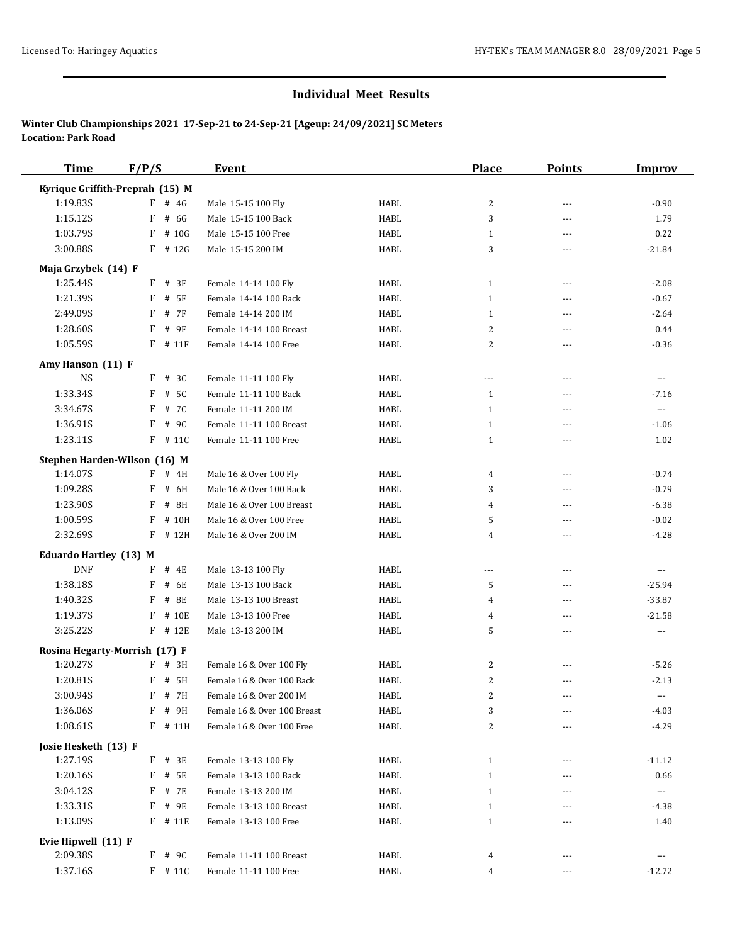| <b>Time</b>                   | F/P/S                           | <b>Event</b>                |              | <b>Place</b>            | <b>Points</b>  | <b>Improv</b>  |
|-------------------------------|---------------------------------|-----------------------------|--------------|-------------------------|----------------|----------------|
|                               | Kyrique Griffith-Preprah (15) M |                             |              |                         |                |                |
| 1:19.83S                      | $F$ # 4G                        | Male 15-15 100 Fly          | HABL         | 2                       | $\overline{a}$ | $-0.90$        |
| 1:15.12S                      | $F$ # 6G                        | Male 15-15 100 Back         | HABL         | 3                       | $\overline{a}$ | 1.79           |
| 1:03.79S                      | $F$ # 10G                       | Male 15-15 100 Free         | HABL         | 1                       | $\overline{a}$ | 0.22           |
| 3:00.88S                      | $F$ # 12G                       | Male 15-15 200 IM           | HABL         | 3                       | $\overline{a}$ | $-21.84$       |
| Maja Grzybek (14) F           |                                 |                             |              |                         |                |                |
| 1:25.44S                      | $F$ # 3F                        | Female 14-14 100 Fly        | HABL         | $\mathbf{1}$            | ---            | $-2.08$        |
| 1:21.39S                      | $F$ # 5F                        | Female 14-14 100 Back       | HABL         | $\mathbf{1}$            | $\cdots$       | $-0.67$        |
| 2:49.09S                      | F<br># 7F                       | Female 14-14 200 IM         | HABL         | 1                       | $\overline{a}$ | $-2.64$        |
| 1:28.60S                      | F<br># 9F                       | Female 14-14 100 Breast     | HABL         | 2                       | ---            | 0.44           |
| 1:05.59S                      | $F$ # 11 $F$                    | Female 14-14 100 Free       | HABL         | 2                       | $\overline{a}$ | $-0.36$        |
| Amy Hanson (11) F             |                                 |                             |              |                         |                |                |
| <b>NS</b>                     | $F$ # 3C                        | Female 11-11 100 Fly        | HABL         | $---$                   | $---$          | $\cdots$       |
| 1:33.34S                      | $F$ # 5C                        | Female 11-11 100 Back       | HABL         | $\mathbf{1}$            | $\overline{a}$ | $-7.16$        |
| 3:34.67S                      | F<br># 7C                       | Female 11-11 200 IM         | HABL         | $\mathbf{1}$            | $---$          | $\cdots$       |
| 1:36.91S                      | # 9C<br>F                       | Female 11-11 100 Breast     | HABL         | $\mathbf{1}$            | $\overline{a}$ | $-1.06$        |
| 1:23.11S                      | $F$ # 11C                       | Female 11-11 100 Free       | HABL         | $\mathbf{1}$            | ---            | 1.02           |
|                               | Stephen Harden-Wilson (16) M    |                             |              |                         |                |                |
| 1:14.07S                      | $F$ # 4H                        | Male 16 & Over 100 Fly      | HABL         | 4                       | $---$          | $-0.74$        |
| 1:09.28S                      | F<br># 6H                       | Male 16 & Over 100 Back     | HABL         | 3                       | $\overline{a}$ | $-0.79$        |
| 1:23.90S                      | # 8H<br>F                       | Male 16 & Over 100 Breast   | HABL         | 4                       | $\overline{a}$ | $-6.38$        |
| 1:00.59S                      | F<br># 10H                      | Male 16 & Over 100 Free     | HABL         | 5                       | ---            | $-0.02$        |
| 2:32.69S                      | $F$ # 12H                       | Male 16 & Over 200 IM       | HABL         | 4                       | $\overline{a}$ | $-4.28$        |
| <b>Eduardo Hartley (13) M</b> |                                 |                             |              |                         |                |                |
| <b>DNF</b>                    | $F$ # 4E                        | Male 13-13 100 Fly          | HABL         | $---$                   | $\overline{a}$ | $\overline{a}$ |
| 1:38.18S                      | $F$ # 6E                        | Male 13-13 100 Back         | HABL         | 5                       | ---            | $-25.94$       |
| 1:40.32S                      | F<br># 8E                       | Male 13-13 100 Breast       | HABL         | 4                       | $\overline{a}$ | $-33.87$       |
| 1:19.37S                      | # 10E<br>F                      | Male 13-13 100 Free         | HABL         | 4                       | $---$          | $-21.58$       |
| 3:25.22S                      | $F$ # 12E                       | Male 13-13 200 IM           | HABL         | 5                       | $---$          | $---$          |
|                               | Rosina Hegarty-Morrish (17) F   |                             |              |                         |                |                |
| 1:20.27S                      | $F$ # 3H                        | Female 16 & Over 100 Fly    | HABL         | 2                       |                | $-5.26$        |
| 1:20.81S                      | $F$ # 5H                        | Female 16 & Over 100 Back   | HABL         | 2                       | $\overline{a}$ | $-2.13$        |
| 3:00.94S                      | $\rm F$ # $\rm 7H$              | Female 16 & Over 200 IM     | ${\tt HABL}$ | $\overline{\mathbf{c}}$ | ---            | $\cdots$       |
| 1:36.06S                      | F # 9H                          | Female 16 & Over 100 Breast | HABL         | 3                       | ---            | $-4.03$        |
| 1:08.61S                      | F # 11H                         | Female 16 & Over 100 Free   | HABL         | 2                       | ---            | $-4.29$        |
| Josie Hesketh (13) F          |                                 |                             |              |                         |                |                |
| 1:27.19S                      | $F$ # 3E                        | Female 13-13 100 Fly        | HABL         | $\mathbf{1}$            | ---            | $-11.12$       |
| 1:20.16S                      | F # 5E                          | Female 13-13 100 Back       | HABL         | $\mathbf{1}$            |                | 0.66           |
| 3:04.12S                      | F # 7E                          | Female 13-13 200 IM         | HABL         | 1                       | ---            | $\cdots$       |
| 1:33.31S                      | $F$ # 9E                        | Female 13-13 100 Breast     | HABL         | 1                       |                | -4.38          |
| 1:13.09S                      | $F$ # 11E                       | Female 13-13 100 Free       | HABL         | 1                       | ---            | 1.40           |
| Evie Hipwell (11) F           |                                 |                             |              |                         |                |                |
| 2:09.38S                      | $F$ # 9C                        | Female 11-11 100 Breast     | HABL         | 4                       | $---$          | $\cdots$       |
| 1:37.16S                      | $F$ # 11C                       | Female 11-11 100 Free       | HABL         | 4                       | ---            | $-12.72$       |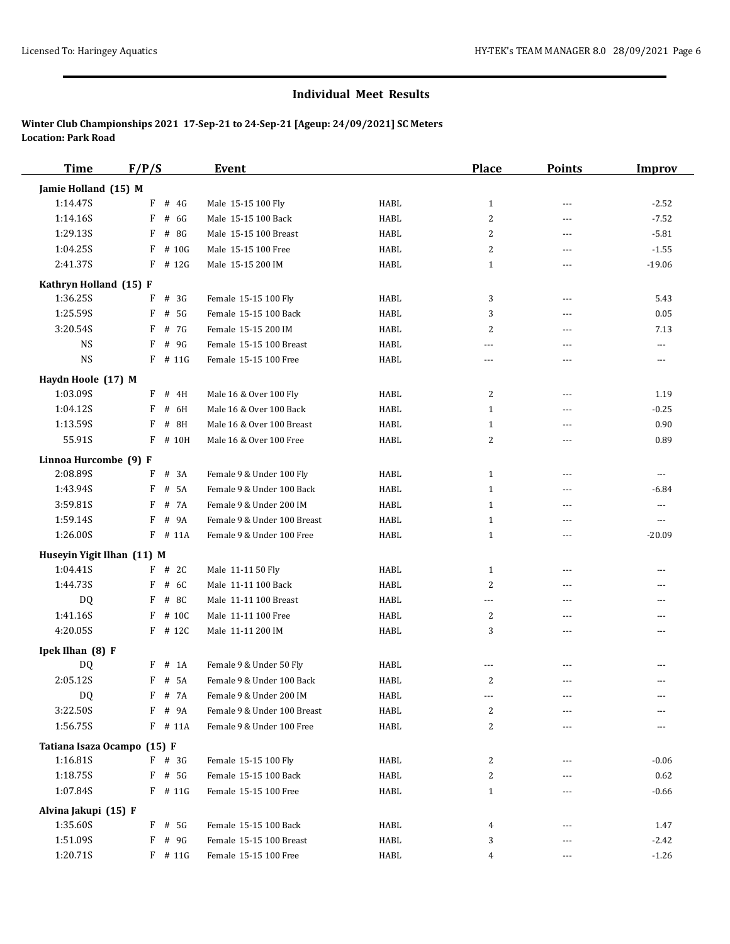| <b>Time</b>                    | F/P/S      | <b>Event</b>                |              | <b>Place</b>   | <b>Points</b>  | <b>Improv</b>  |
|--------------------------------|------------|-----------------------------|--------------|----------------|----------------|----------------|
| Jamie Holland (15) M           |            |                             |              |                |                |                |
| 1:14.47S                       | $F$ # 4G   | Male 15-15 100 Fly          | HABL         | $\mathbf{1}$   | $\overline{a}$ | $-2.52$        |
| 1:14.16S                       | # 6G<br>F  | Male 15-15 100 Back         | HABL         | 2              | $\overline{a}$ | $-7.52$        |
| 1:29.13S                       | # 8G<br>F  | Male 15-15 100 Breast       | HABL         | 2              | $\overline{a}$ | $-5.81$        |
| 1:04.25S                       | F<br># 10G | Male 15-15 100 Free         | HABL         | 2              | ---            | $-1.55$        |
| 2:41.37S                       | $F$ # 12G  | Male 15-15 200 IM           | HABL         | $\mathbf{1}$   | $\overline{a}$ | $-19.06$       |
| Kathryn Holland (15) F         |            |                             |              |                |                |                |
| 1:36.25S                       | $F$ # 3G   | Female 15-15 100 Fly        | HABL         | 3              | $---$          | 5.43           |
| 1:25.59S                       | F<br># 5G  | Female 15-15 100 Back       | HABL         | 3              | $\overline{a}$ | 0.05           |
| 3:20.54S                       | $F$ # 7G   | Female 15-15 200 IM         | HABL         | 2              | $\overline{a}$ | 7.13           |
| <b>NS</b>                      | F<br># 9G  | Female 15-15 100 Breast     | HABL         | $\overline{a}$ | $\overline{a}$ | $\overline{a}$ |
| <b>NS</b>                      | $F$ # 11G  | Female 15-15 100 Free       | HABL         | $- - -$        | $\overline{a}$ | $\cdots$       |
|                                |            |                             |              |                |                |                |
| Haydn Hoole (17) M<br>1:03.09S | $F$ # 4H   | Male 16 & Over 100 Fly      | HABL         | 2              | ---            | 1.19           |
| 1:04.12S                       | F # 6H     | Male 16 & Over 100 Back     | HABL         | $\mathbf{1}$   | $\overline{a}$ | $-0.25$        |
| 1:13.59S                       | F<br># 8H  | Male 16 & Over 100 Breast   | HABL         | $\mathbf{1}$   | ---            | 0.90           |
| 55.91S                         | F # 10H    | Male 16 & Over 100 Free     | HABL         | 2              | ---            | 0.89           |
|                                |            |                             |              |                |                |                |
| Linnoa Hurcombe (9) F          |            |                             |              |                |                |                |
| 2:08.89S                       | F<br># 3A  | Female 9 & Under 100 Fly    | HABL         | $\mathbf{1}$   | $---$          | $\cdots$       |
| 1:43.94S                       | # 5A<br>F  | Female 9 & Under 100 Back   | HABL         | $\mathbf{1}$   | $\overline{a}$ | $-6.84$        |
| 3:59.81S                       | F # 7A     | Female 9 & Under 200 IM     | HABL         | $\mathbf{1}$   | ---            | $\cdots$       |
| 1:59.14S                       | $F$ # 9A   | Female 9 & Under 100 Breast | HABL         | 1              | $---$          | $\cdots$       |
| 1:26.00S                       | $F$ # 11A  | Female 9 & Under 100 Free   | HABL         | $\mathbf{1}$   | ---            | $-20.09$       |
| Huseyin Yigit Ilhan (11) M     |            |                             |              |                |                |                |
| 1:04.41S                       | $F$ # 2C   | Male 11-11 50 Fly           | HABL         | $\mathbf{1}$   | ---            |                |
| 1:44.73S                       | $F$ # 6C   | Male 11-11 100 Back         | HABL         | 2              | $\overline{a}$ |                |
| DQ                             | F<br># 8C  | Male 11-11 100 Breast       | HABL         | $\overline{a}$ | $\overline{a}$ |                |
| 1:41.16S                       | $F$ # 10C  | Male 11-11 100 Free         | HABL         | 2              | $\overline{a}$ | ---            |
| 4:20.05S                       | $F$ # 12C  | Male 11-11 200 IM           | HABL         | 3              | $\overline{a}$ | $---$          |
| Ipek Ilhan (8) F               |            |                             |              |                |                |                |
| DQ                             | $F$ # 1A   | Female 9 & Under 50 Fly     | HABL         | $\sim$ $\sim$  | ---            |                |
| 2:05.12S                       | F # 5A     | Female 9 & Under 100 Back   | HABL         | 2              | ---            | ---            |
| DQ                             | $F$ # 7A   | Female 9 & Under 200 IM     | ${\tt HABL}$ |                |                | $---$          |
| 3:22.50S                       | F # 9A     | Female 9 & Under 100 Breast | HABL         | 2              | $---$          |                |
| 1:56.75S                       | F # 11A    | Female 9 & Under 100 Free   | HABL         | 2              | ---            |                |
| Tatiana Isaza Ocampo (15) F    |            |                             |              |                |                |                |
| 1:16.81S                       | $F$ # 3G   | Female 15-15 100 Fly        | HABL         | 2              | ---            | $-0.06$        |
| 1:18.75S                       | $F$ # 5G   | Female 15-15 100 Back       | HABL         | 2              |                | 0.62           |
| 1:07.84S                       | $F$ # 11G  | Female 15-15 100 Free       | HABL         | $\mathbf{1}$   | ---            | $-0.66$        |
| Alvina Jakupi (15) F           |            |                             |              |                |                |                |
| 1:35.60S                       | $F$ # 5G   | Female 15-15 100 Back       | HABL         | 4              |                | 1.47           |
| 1:51.09S                       | F # 9G     | Female 15-15 100 Breast     | HABL         | 3              |                | $-2.42$        |
| 1:20.71S                       | $F$ # 11G  | Female 15-15 100 Free       | HABL         | 4              | $\cdots$       | $-1.26$        |
|                                |            |                             |              |                |                |                |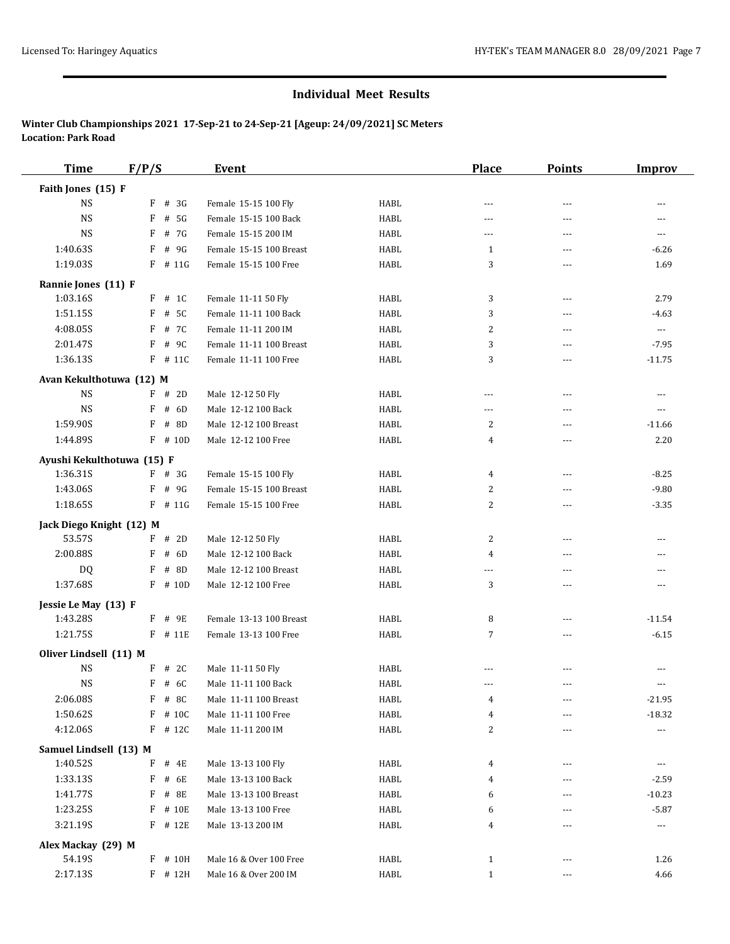| <b>Time</b>                            | F/P/S      | Event                   |             | <b>Place</b>   | <b>Points</b>  | <b>Improv</b>  |
|----------------------------------------|------------|-------------------------|-------------|----------------|----------------|----------------|
| Faith Jones (15) F                     |            |                         |             |                |                |                |
| <b>NS</b>                              | # 3G<br>F  | Female 15-15 100 Fly    | HABL        | ---            | ---            | ---            |
| <b>NS</b>                              | F<br># 5G  | Female 15-15 100 Back   | <b>HABL</b> | ---            | ---            | ---            |
| <b>NS</b>                              | F<br># 7G  | Female 15-15 200 IM     | <b>HABL</b> | ---            | ---            | ---            |
| 1:40.63S                               | F<br># 9G  | Female 15-15 100 Breast | <b>HABL</b> | 1              | $---$          | $-6.26$        |
| 1:19.03S                               | $F$ # 11G  | Female 15-15 100 Free   | <b>HABL</b> | 3              | $- - -$        | 1.69           |
| Rannie Jones (11) F                    |            |                         |             |                |                |                |
| 1:03.16S                               | $F$ # 1C   | Female 11-11 50 Fly     | HABL        | 3              | $---$          | 2.79           |
| 1:51.15S                               | F<br># 5C  | Female 11-11 100 Back   | <b>HABL</b> | 3              | $\overline{a}$ | $-4.63$        |
| 4:08.05S                               | F<br># 7C  | Female 11-11 200 IM     | HABL        | 2              | $- - -$        | $\sim$ $\sim$  |
| 2:01.47S                               | F<br># 9C  | Female 11-11 100 Breast | <b>HABL</b> | 3              | ---            | $-7.95$        |
| 1:36.13S                               | $F$ # 11C  | Female 11-11 100 Free   | HABL        | 3              | $---$          | $-11.75$       |
| Avan Kekulthotuwa (12) M               |            |                         |             |                |                |                |
| <b>NS</b>                              | $F$ # 2D   | Male 12-12 50 Fly       | <b>HABL</b> | ---            | $\overline{a}$ | ---            |
| <b>NS</b>                              | F<br># 6D  | Male 12-12 100 Back     | <b>HABL</b> | ---            | $---$          | $\overline{a}$ |
| 1:59.90S                               | F<br># 8D  | Male 12-12 100 Breast   | <b>HABL</b> | 2              | ---            | $-11.66$       |
| 1:44.89S                               | $F$ # 10D  | Male 12-12 100 Free     | <b>HABL</b> | 4              | ---            | 2.20           |
|                                        |            |                         |             |                |                |                |
| Ayushi Kekulthotuwa (15) F<br>1:36.31S | $F$ # 3G   | Female 15-15 100 Fly    | HABL        | 4              | $---$          | $-8.25$        |
| 1:43.06S                               | F<br># 9G  | Female 15-15 100 Breast | <b>HABL</b> | 2              | ---            | $-9.80$        |
| 1:18.655                               | $F$ # 11G  | Female 15-15 100 Free   | <b>HABL</b> | $\overline{c}$ | ---            | $-3.35$        |
|                                        |            |                         |             |                |                |                |
| Jack Diego Knight (12) M               |            |                         |             |                |                |                |
| 53.57S                                 | $F$ # 2D   | Male 12-12 50 Fly       | HABL        | 2              | ---            | ---            |
| 2:00.88S                               | # 6D<br>F  | Male 12-12 100 Back     | <b>HABL</b> | 4              | $---$          | $---$          |
| <b>DQ</b>                              | F<br># 8D  | Male 12-12 100 Breast   | <b>HABL</b> | ---            | ---            | ---            |
| 1:37.68S                               | $F$ # 10D  | Male 12-12 100 Free     | <b>HABL</b> | 3              | $---$          | $\cdots$       |
| Jessie Le May (13) F                   |            |                         |             |                |                |                |
| 1:43.28S                               | F # 9E     | Female 13-13 100 Breast | HABL        | 8              | ---            | $-11.54$       |
| 1:21.75S                               | F # 11E    | Female 13-13 100 Free   | <b>HABL</b> | $\overline{7}$ | ---            | $-6.15$        |
| Oliver Lindsell (11) M                 |            |                         |             |                |                |                |
| <b>NS</b>                              | F<br># 2C  | Male 11-11 50 Fly       | HABL        | ---            | $---$          | $---$          |
| <b>NS</b>                              | F<br># 6C  | Male 11-11 100 Back     | <b>HABL</b> | ---            | ---            | ---            |
| 2:06.08S                               | # 8C<br>F  | Male 11-11 100 Breast   | HABL        | 4              | ---            | $-21.95$       |
| 1:50.62S                               | F<br># 10C | Male 11-11 100 Free     | HABL        | 4              |                | $-18.32$       |
| 4:12.06S                               | $F$ # 12C  | Male 11-11 200 IM       | HABL        | $\sqrt{2}$     |                | ---            |
| Samuel Lindsell (13) M                 |            |                         |             |                |                |                |
| 1:40.52S                               | F<br># 4E  | Male 13-13 100 Fly      | HABL        | 4              |                | ---            |
| 1:33.13S                               | F<br># 6E  | Male 13-13 100 Back     | HABL        | 4              | ---            | $-2.59$        |
| 1:41.77S                               | # 8E<br>F  | Male 13-13 100 Breast   | HABL        | 6              |                | $-10.23$       |
| 1:23.25S                               | F<br># 10E | Male 13-13 100 Free     | HABL        | 6              | ---            | $-5.87$        |
| 3:21.19S                               | F # 12E    | Male 13-13 200 IM       | HABL        | 4              |                | $\cdots$       |
| Alex Mackay (29) M                     |            |                         |             |                |                |                |
| 54.19S                                 | F # 10H    | Male 16 & Over 100 Free | HABL        | $\mathbf{1}$   | $\cdots$       | 1.26           |
| 2:17.13S                               | $F$ # 12H  | Male 16 & Over 200 IM   | HABL        | $\mathbf{1}$   |                | 4.66           |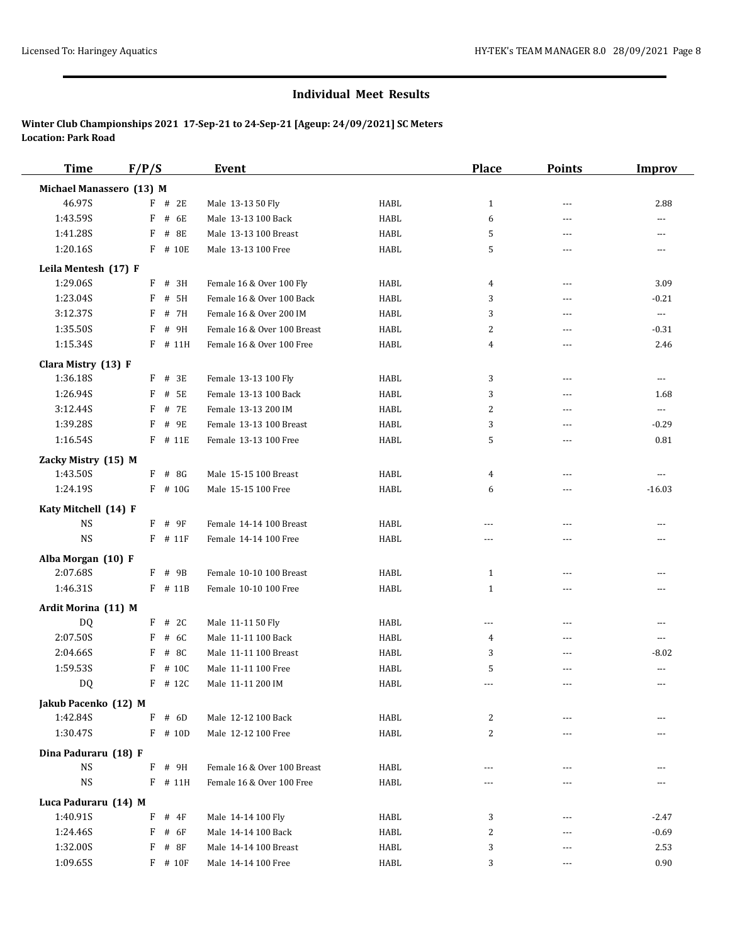| <b>Time</b>               | F/P/S        | <b>Event</b>                |             | <b>Place</b>   | <b>Points</b> | Improv         |
|---------------------------|--------------|-----------------------------|-------------|----------------|---------------|----------------|
| Michael Manassero (13) M  |              |                             |             |                |               |                |
| 46.97S                    | $F$ # 2E     | Male 13-13 50 Fly           | HABL        | $\mathbf{1}$   | $\sim$ $\sim$ | 2.88           |
| 1:43.59S                  | F # 6E       | Male 13-13 100 Back         | HABL        | 6              | $---$         | $---$          |
| 1:41.28S                  | F # 8E       | Male 13-13 100 Breast       | <b>HABL</b> | 5              | $---$         | $---$          |
| 1:20.16S                  | F # 10E      | Male 13-13 100 Free         | HABL        | 5              | ---           |                |
| Leila Mentesh (17) F      |              |                             |             |                |               |                |
| 1:29.06S                  | $F$ # 3H     | Female 16 & Over 100 Fly    | <b>HABL</b> | 4              | $---$         | 3.09           |
| 1:23.04S                  | $F$ # 5H     | Female 16 & Over 100 Back   | HABL        | 3              | ---           | $-0.21$        |
| 3:12.37S                  | # 7H<br>F    | Female 16 & Over 200 IM     | HABL        | 3              | ---           | $\ldots$       |
| 1:35.50S                  | F # 9H       | Female 16 & Over 100 Breast | HABL        | 2              | ---           | $-0.31$        |
| 1:15.34S                  | F # 11H      | Female 16 & Over 100 Free   | <b>HABL</b> | 4              | $---$         | 2.46           |
| Clara Mistry (13) F       |              |                             |             |                |               |                |
| 1:36.18S                  | F # 3E       | Female 13-13 100 Fly        | <b>HABL</b> | 3              | $- - -$       | $\cdots$       |
| 1:26.94S                  | $F$ # 5E     | Female 13-13 100 Back       | HABL        | 3              | ---           | 1.68           |
| 3:12.44S                  | F<br># 7E    | Female 13-13 200 IM         | <b>HABL</b> | $\overline{c}$ | ---           | $\cdots$       |
| 1:39.28S                  | # 9E<br>F    | Female 13-13 100 Breast     | <b>HABL</b> | 3              | ---           | $-0.29$        |
| 1:16.54S                  | F # 11E      | Female 13-13 100 Free       | HABL        | 5              | ---           | 0.81           |
| Zacky Mistry (15) M       |              |                             |             |                |               |                |
| 1:43.50S                  | $F$ # 8G     | Male 15-15 100 Breast       | <b>HABL</b> | 4              | $---$         | $---$          |
| 1:24.19S                  | $F$ # 10G    | Male 15-15 100 Free         | HABL        | 6              | $---$         | $-16.03$       |
| Katy Mitchell (14) F      |              |                             |             |                |               |                |
| <b>NS</b>                 | F # 9F       | Female 14-14 100 Breast     | HABL        | ---            | ---           | $---$          |
| <b>NS</b>                 | $F$ # 11 $F$ | Female 14-14 100 Free       | <b>HABL</b> | ---            | ---           | $\overline{a}$ |
| Alba Morgan (10) F        |              |                             |             |                |               |                |
| 2:07.68S                  | F # 9B       | Female 10-10 100 Breast     | HABL        | 1              | ---           |                |
| 1:46.31S                  | F # 11B      | Female 10-10 100 Free       | <b>HABL</b> | $\mathbf{1}$   | ---           | $---$          |
|                           |              |                             |             |                |               |                |
| Ardit Morina (11) M<br>DQ | F # 2C       | Male 11-11 50 Fly           | HABL        | ---            | ---           | $\overline{a}$ |
| 2:07.50S                  | # 6C<br>F    | Male 11-11 100 Back         | HABL        | 4              | ---           | $\overline{a}$ |
| 2:04.66S                  | # 8C<br>F    | Male 11-11 100 Breast       | HABL        | 3              | ---           | $-8.02$        |
| 1:59.53S                  | # 10C<br>F   | Male 11-11 100 Free         | <b>HABL</b> | 5              | ---           | $\overline{a}$ |
| DQ                        | $F$ # 12C    | Male 11-11 200 IM           | HABL        | ---            | $\sim$ $\sim$ | $\sim$         |
| Jakub Pacenko (12) M      |              |                             |             |                |               |                |
| 1:42.84S                  | F<br># 6D    | Male 12-12 100 Back         | HABL        | 2              | ---           |                |
| 1:30.47S                  | $F$ # 10D    | Male 12-12 100 Free         | <b>HABL</b> | 2              | ---           |                |
|                           |              |                             |             |                |               |                |
| Dina Paduraru (18) F      |              |                             |             |                |               |                |
| <b>NS</b>                 | F # 9H       | Female 16 & Over 100 Breast | HABL        | ---            | ---           | $\overline{a}$ |
| <b>NS</b>                 | F # 11H      | Female 16 & Over 100 Free   | HABL        | $---$          | $---$         | $---$          |
| Luca Paduraru (14) M      |              |                             |             |                |               |                |
| 1:40.91S                  | F<br># 4F    | Male 14-14 100 Fly          | HABL        | 3              | ---           | $-2.47$        |
| 1:24.46S                  | F<br># 6F    | Male 14-14 100 Back         | HABL        | 2              | ---           | $-0.69$        |
| 1:32.00S                  | F<br># 8F    | Male 14-14 100 Breast       | HABL        | 3              | ---           | 2.53           |
| 1:09.65S                  | $F$ # 10 $F$ | Male 14-14 100 Free         | HABL        | 3              | $\cdots$      | 0.90           |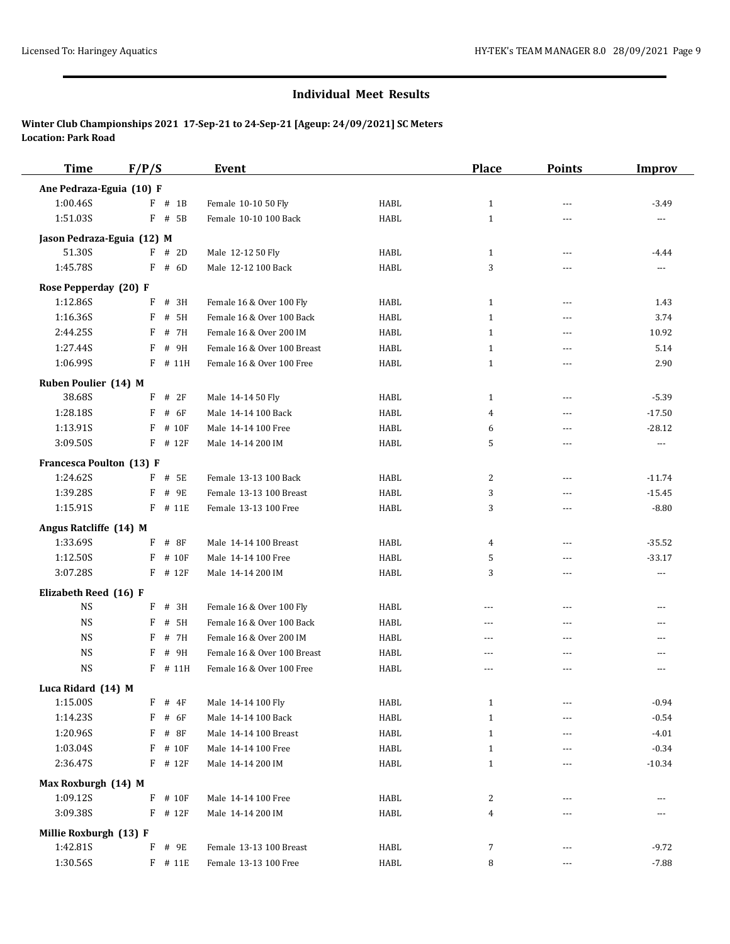| <b>Time</b>                        | F/P/S        | <b>Event</b>                |             | Place        | <b>Points</b>  | <b>Improv</b> |
|------------------------------------|--------------|-----------------------------|-------------|--------------|----------------|---------------|
| Ane Pedraza-Eguia (10) F           |              |                             |             |              |                |               |
| 1:00.46S                           | $F$ # 1B     | Female 10-10 50 Fly         | HABL        | $\mathbf{1}$ | ---            | $-3.49$       |
| 1:51.03S                           | F # 5B       | Female 10-10 100 Back       | <b>HABL</b> | $\mathbf{1}$ | $\sim$ $\sim$  |               |
| Jason Pedraza-Eguia (12) M         |              |                             |             |              |                |               |
| 51.30S                             | F<br># 2D    | Male 12-12 50 Fly           | HABL        | $\mathbf{1}$ | $---$          | $-4.44$       |
| 1:45.78S                           | F<br># 6D    | Male 12-12 100 Back         | HABL        | 3            | ---            | ---           |
| Rose Pepperday (20) F              |              |                             |             |              |                |               |
| 1:12.86S                           | F<br># 3H    | Female 16 & Over 100 Fly    | HABL        | $\mathbf{1}$ | $---$          | 1.43          |
| 1:16.36S                           | # 5H<br>F    | Female 16 & Over 100 Back   | HABL        | $\mathbf{1}$ | $\sim$ $\sim$  | 3.74          |
| 2:44.25S                           | F<br># 7H    | Female 16 & Over 200 IM     | <b>HABL</b> | $\mathbf{1}$ | $---$          | 10.92         |
| 1:27.44S                           | F<br># 9H    | Female 16 & Over 100 Breast | HABL        | $\mathbf{1}$ | ---            | 5.14          |
| 1:06.99S                           | F<br># 11H   | Female 16 & Over 100 Free   | HABL        | $\mathbf{1}$ | $\overline{a}$ | 2.90          |
| Ruben Poulier (14) M               |              |                             |             |              |                |               |
| 38.68S                             | $F$ # 2F     | Male 14-14 50 Fly           | HABL        | 1            | $\frac{1}{2}$  | $-5.39$       |
| 1:28.18S                           | F<br># 6F    | Male 14-14 100 Back         | HABL        | 4            | ---            | $-17.50$      |
| 1:13.91S                           | F<br># 10F   | Male 14-14 100 Free         | HABL        | 6            | $\overline{a}$ | $-28.12$      |
| 3:09.50S                           | F<br># 12F   | Male 14-14 200 IM           | HABL        | 5            | $---$          | $\sim$        |
| <b>Francesca Poulton (13) F</b>    |              |                             |             |              |                |               |
| 1:24.62S                           | F<br># 5E    | Female 13-13 100 Back       | <b>HABL</b> | 2            | ---            | $-11.74$      |
| 1:39.28S                           | F<br># 9E    | Female 13-13 100 Breast     | HABL        | 3            | ---            | $-15.45$      |
| 1:15.91S                           | $F$ # 11E    | Female 13-13 100 Free       | HABL        | 3            | $\overline{a}$ | $-8.80$       |
| Angus Ratcliffe (14) M             |              |                             |             |              |                |               |
| 1:33.69S                           | $#$ 8F<br>F  | Male 14-14 100 Breast       | <b>HABL</b> | 4            | $\overline{a}$ | $-35.52$      |
| 1:12.50S                           | F<br># 10F   | Male 14-14 100 Free         | <b>HABL</b> | 5            | ---            | $-33.17$      |
| 3:07.28S                           | $F$ # 12 $F$ | Male 14-14 200 IM           | <b>HABL</b> | 3            | $\overline{a}$ | $---$         |
| Elizabeth Reed (16) F              |              |                             |             |              |                |               |
| <b>NS</b>                          | # 3H<br>F    | Female 16 & Over 100 Fly    | HABL        | $- - -$      | $---$          | ---           |
| <b>NS</b>                          | # 5H<br>F    | Female 16 & Over 100 Back   | <b>HABL</b> | ---          | $\overline{a}$ |               |
| <b>NS</b>                          | F<br># 7H    | Female 16 & Over 200 IM     | HABL        | ---          | $---$          |               |
| <b>NS</b>                          | # 9H<br>F    | Female 16 & Over 100 Breast | <b>HABL</b> | $---$        | $- - -$        | $---$         |
| <b>NS</b>                          | $F$ # 11H    | Female 16 & Over 100 Free   | <b>HABL</b> | ---          | ---            |               |
| Luca Ridard (14) M                 |              |                             |             |              |                |               |
| 1:15.00S                           | # $4F$<br>F  | Male 14-14 100 Fly          | HABL        | $\mathbf{1}$ |                | $-0.94$       |
| 1:14.23S                           | # $6F$<br>F  | Male 14-14 100 Back         | HABL        | $\mathbf{1}$ |                | $-0.54$       |
| 1:20.96S                           | # 8F<br>F    | Male 14-14 100 Breast       | HABL        | $\mathbf{1}$ | ---            | $-4.01$       |
| 1:03.04S                           | F<br># 10F   | Male 14-14 100 Free         | HABL        | $\mathbf{1}$ |                | $-0.34$       |
| 2:36.47S                           | $F$ # 12 $F$ | Male 14-14 200 IM           | HABL        | $\mathbf{1}$ | ---            | $-10.34$      |
| Max Roxburgh (14) M                |              |                             |             |              |                |               |
| 1:09.12S                           | F<br># 10F   | Male 14-14 100 Free         | HABL        | 2            |                |               |
| 3:09.38S                           | $F$ # 12 $F$ | Male 14-14 200 IM           | <b>HABL</b> | 4            | ---            | $\cdots$      |
|                                    |              |                             |             |              |                |               |
| Millie Roxburgh (13) F<br>1:42.81S | F<br># 9E    | Female 13-13 100 Breast     | HABL        | 7            | ---            | $-9.72$       |
| 1:30.56S                           | $F$ # 11E    | Female 13-13 100 Free       | HABL        | 8            |                | $-7.88$       |
|                                    |              |                             |             |              | ---            |               |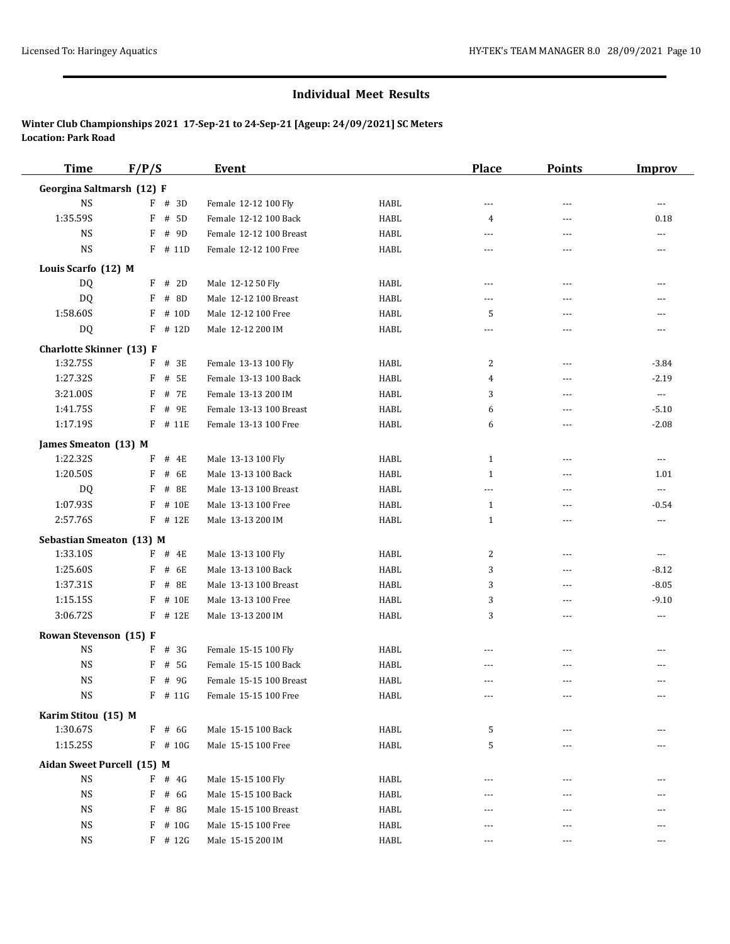| <b>Time</b>                     | F/P/S      | <b>Event</b>            |              | <b>Place</b>      | <b>Points</b>  | <b>Improv</b>        |
|---------------------------------|------------|-------------------------|--------------|-------------------|----------------|----------------------|
| Georgina Saltmarsh (12) F       |            |                         |              |                   |                |                      |
| $_{\rm NS}$                     | $F$ # 3D   | Female 12-12 100 Fly    | HABL         | $\overline{a}$    | $\overline{a}$ | $---$                |
| 1:35.59S                        | F # 5D     | Female 12-12 100 Back   | HABL         | 4                 | ---            | 0.18                 |
| <b>NS</b>                       | F # 9D     | Female 12-12 100 Breast | HABL         | $---$             | $\overline{a}$ | $\overline{a}$       |
| <b>NS</b>                       | $F$ # 11D  | Female 12-12 100 Free   | HABL         | $\sim$ $\sim$     | $\overline{a}$ | $- - -$              |
| Louis Scarfo (12) M             |            |                         |              |                   |                |                      |
| <b>DQ</b>                       | $F$ # 2D   | Male 12-12 50 Fly       | HABL         | $---$             | ---            | ---                  |
| DQ                              | $F$ # 8D   | Male 12-12 100 Breast   | HABL         | $- - -$           | ---            |                      |
| 1:58.60S                        | $F$ # 10D  | Male 12-12 100 Free     | HABL         | 5                 | $\overline{a}$ | ---                  |
| DQ                              | $F$ # 12D  | Male 12-12 200 IM       | HABL         | ---               | ---            | $\cdots$             |
| <b>Charlotte Skinner</b> (13) F |            |                         |              |                   |                |                      |
| 1:32.75S                        | $F$ # 3E   | Female 13-13 100 Fly    | HABL         | 2                 | ---            | $-3.84$              |
| 1:27.32S                        | $F$ # 5E   | Female 13-13 100 Back   | HABL         | 4                 | $\overline{a}$ | $-2.19$              |
| 3:21.00S                        | # 7E<br>F  | Female 13-13 200 IM     | HABL         | 3                 | ---            | $\scriptstyle\cdots$ |
| 1:41.75S                        | F<br># 9E  | Female 13-13 100 Breast | HABL         | 6                 | $- - -$        | $-5.10$              |
| 1:17.19S                        | F # 11E    | Female 13-13 100 Free   | HABL         | 6                 | $\overline{a}$ | $-2.08$              |
| James Smeaton (13) M            |            |                         |              |                   |                |                      |
| 1:22.32S                        | $F$ # 4E   | Male 13-13 100 Fly      | HABL         | 1                 | $\overline{a}$ | $\overline{a}$       |
| 1:20.50S                        | # 6E<br>F  | Male 13-13 100 Back     | HABL         | $\mathbf{1}$      | $---$          | 1.01                 |
| DQ                              | # 8E<br>F  | Male 13-13 100 Breast   | HABL         | $\overline{a}$    | $\overline{a}$ | $\ldots$             |
| 1:07.93S                        | $F$ # 10E  | Male 13-13 100 Free     | HABL         | 1                 | $\overline{a}$ | $-0.54$              |
| 2:57.76S                        | $F$ # 12E  | Male 13-13 200 IM       | HABL         | 1                 | $- - -$        | $\cdots$             |
| <b>Sebastian Smeaton (13) M</b> |            |                         |              |                   |                |                      |
| 1:33.10S                        | $F$ # 4E   | Male 13-13 100 Fly      | HABL         | 2                 | ---            | $\cdots$             |
| 1:25.60S                        | F # 6E     | Male 13-13 100 Back     | HABL         | 3                 | $\overline{a}$ | $-8.12$              |
| 1:37.31S                        | $F$ # 8E   | Male 13-13 100 Breast   | HABL         | 3                 | $\overline{a}$ | $-8.05$              |
| 1:15.15S                        | F<br># 10E | Male 13-13 100 Free     | HABL         | 3                 | $\overline{a}$ | $-9.10$              |
| 3:06.72S                        | $F$ # 12E  | Male 13-13 200 IM       | HABL         | 3                 | $\overline{a}$ | $\cdots$             |
| Rowan Stevenson (15) F          |            |                         |              |                   |                |                      |
| <b>NS</b>                       | $F$ # 3G   | Female 15-15 100 Fly    | HABL         | ---               | $---$          |                      |
| <b>NS</b>                       | F<br># 5G  | Female 15-15 100 Back   | HABL         | ---               | ---            |                      |
| <b>NS</b>                       | $F$ # 9G   | Female 15-15 100 Breast | HABL         | ---               | $\overline{a}$ | $\overline{a}$       |
| $_{\rm NS}$                     | $F$ # 11G  | Female 15-15 100 Free   | ${\tt HABL}$ | $\qquad \qquad -$ |                |                      |
| Karim Stitou (15) M             |            |                         |              |                   |                |                      |
| 1:30.67S                        | $F$ # 6G   | Male 15-15 100 Back     | HABL         | 5                 |                |                      |
| 1:15.25S                        | $F$ # 10G  | Male 15-15 100 Free     | HABL         | 5                 | ---            |                      |
| Aidan Sweet Purcell (15) M      |            |                         |              |                   |                |                      |
| $_{\rm NS}$                     | $F$ # 4G   | Male 15-15 100 Fly      | HABL         |                   |                |                      |
| <b>NS</b>                       | $F$ # 6G   | Male 15-15 100 Back     | HABL         |                   | ---            |                      |
| <b>NS</b>                       | $F$ # 8G   | Male 15-15 100 Breast   | HABL         | ---               | ---            |                      |
| $_{\rm NS}$                     | $F$ # 10G  | Male 15-15 100 Free     | HABL         | $---$             | $- - -$        | $---$                |
| <b>NS</b>                       | $F$ # 12G  | Male 15-15 200 IM       | HABL         | $\cdots$          | $\cdots$       | $\cdots$             |